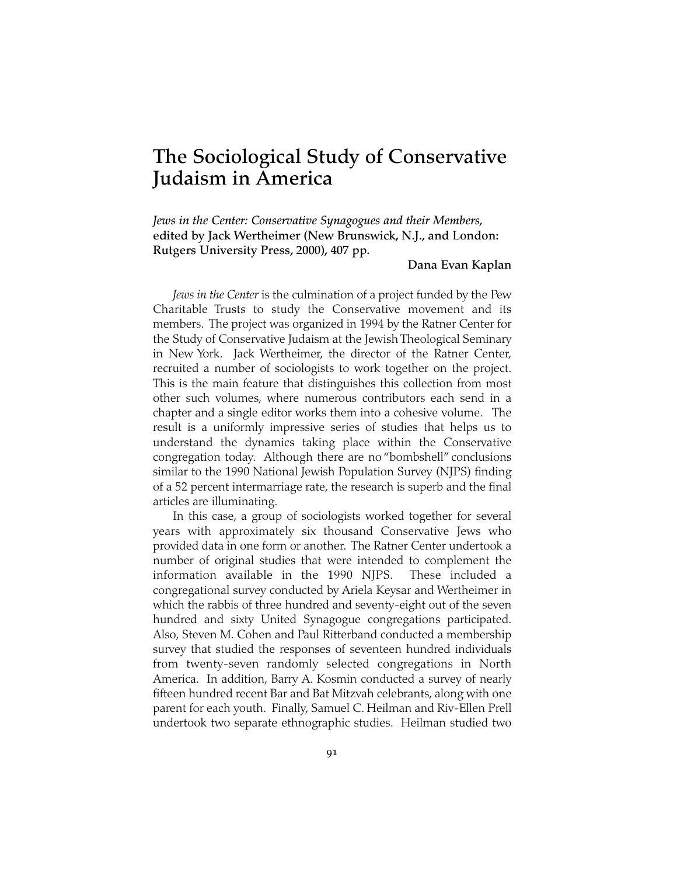# **The Sociological Study of Conservative Judaism in America**

*Jews in the Center: Conservative Synagogues and their Members,* **edited by Jack Wertheimer (New Brunswick, N.J., and London: Rutgers University Press, 2000), 407 pp.**

# **Dana Evan Kaplan**

*Jews in the Center* is the culmination of a project funded by the Pew Charitable Trusts to study the Conservative movement and its members. The project was organized in 1994 by the Ratner Center for the Study of Conservative Judaism at the Jewish Theological Seminary in New York. Jack Wertheimer, the director of the Ratner Center, recruited a number of sociologists to work together on the project. This is the main feature that distinguishes this collection from most other such volumes, where numerous contributors each send in a chapter and a single editor works them into a cohesive volume. The result is a uniformly impressive series of studies that helps us to understand the dynamics taking place within the Conservative congregation today. Although there are no "bombshell" conclusions similar to the 1990 National Jewish Population Survey (NJPS) finding of a 52 percent intermarriage rate, the research is superb and the final articles are illuminating.

In this case, a group of sociologists worked together for several years with approximately six thousand Conservative Jews who provided data in one form or another. The Ratner Center undertook a number of original studies that were intended to complement the information available in the 1990 NJPS. These included a congregational survey conducted by Ariela Keysar and Wertheimer in which the rabbis of three hundred and seventy-eight out of the seven hundred and sixty United Synagogue congregations participated. Also, Steven M. Cohen and Paul Ritterband conducted a membership survey that studied the responses of seventeen hundred individuals from twenty-seven randomly selected congregations in North America. In addition, Barry A. Kosmin conducted a survey of nearly fifteen hundred recent Bar and Bat Mitzvah celebrants, along with one parent for each youth. Finally, Samuel C. Heilman and Riv-Ellen Prell undertook two separate ethnographic studies. Heilman studied two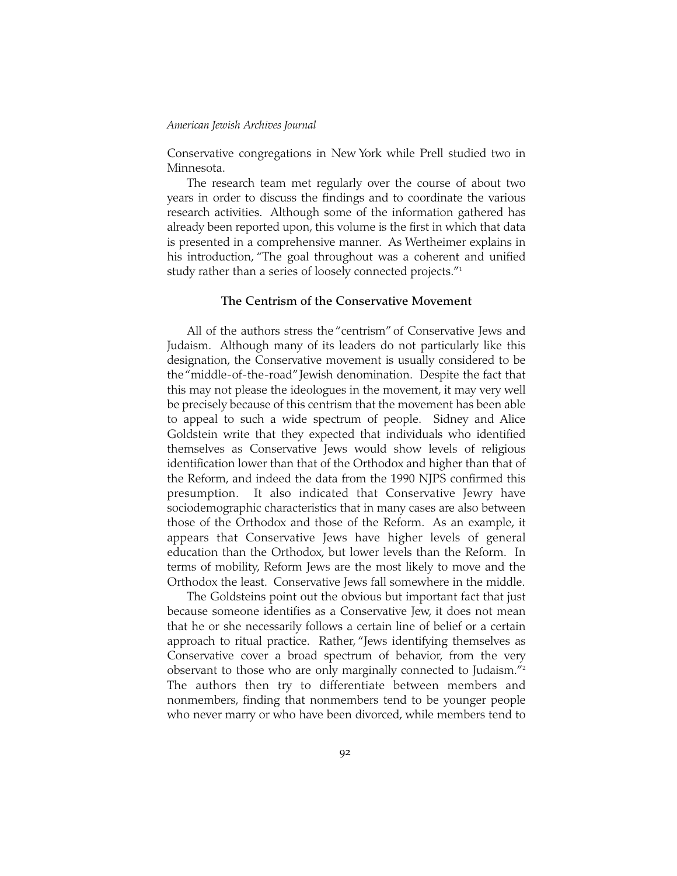#### *American Jewish Archives Journal*

Conservative congregations in New York while Prell studied two in Minnesota.

The research team met regularly over the course of about two years in order to discuss the findings and to coordinate the various research activities. Although some of the information gathered has already been reported upon, this volume is the first in which that data is presented in a comprehensive manner. As Wertheimer explains in his introduction, "The goal throughout was a coherent and unified study rather than a series of loosely connected projects."1

# **The Centrism of the Conservative Movement**

All of the authors stress the "centrism" of Conservative Jews and Judaism. Although many of its leaders do not particularly like this designation, the Conservative movement is usually considered to be the "middle-of-the-road"Jewish denomination. Despite the fact that this may not please the ideologues in the movement, it may very well be precisely because of this centrism that the movement has been able to appeal to such a wide spectrum of people. Sidney and Alice Goldstein write that they expected that individuals who identified themselves as Conservative Jews would show levels of religious identification lower than that of the Orthodox and higher than that of the Reform, and indeed the data from the 1990 NJPS confirmed this presumption. It also indicated that Conservative Jewry have sociodemographic characteristics that in many cases are also between those of the Orthodox and those of the Reform. As an example, it appears that Conservative Jews have higher levels of general education than the Orthodox, but lower levels than the Reform. In terms of mobility, Reform Jews are the most likely to move and the Orthodox the least. Conservative Jews fall somewhere in the middle.

The Goldsteins point out the obvious but important fact that just because someone identifies as a Conservative Jew, it does not mean that he or she necessarily follows a certain line of belief or a certain approach to ritual practice. Rather, "Jews identifying themselves as Conservative cover a broad spectrum of behavior, from the very observant to those who are only marginally connected to Judaism."2 The authors then try to differentiate between members and nonmembers, finding that nonmembers tend to be younger people who never marry or who have been divorced, while members tend to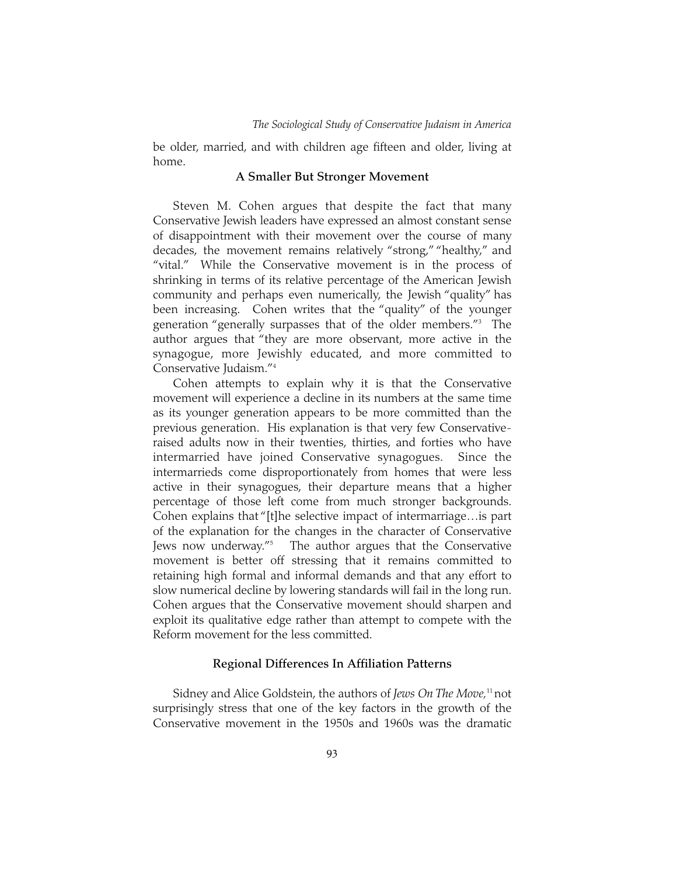## *The Sociological Study of Conservative Judaism in America*

be older, married, and with children age fifteen and older, living at home.

# **A Smaller But Stronger Movement**

Steven M. Cohen argues that despite the fact that many Conservative Jewish leaders have expressed an almost constant sense of disappointment with their movement over the course of many decades, the movement remains relatively "strong," "healthy," and "vital." While the Conservative movement is in the process of shrinking in terms of its relative percentage of the American Jewish community and perhaps even numerically, the Jewish "quality" has been increasing. Cohen writes that the "quality" of the younger generation "generally surpasses that of the older members."3 The author argues that "they are more observant, more active in the synagogue, more Jewishly educated, and more committed to Conservative Judaism."4

Cohen attempts to explain why it is that the Conservative movement will experience a decline in its numbers at the same time as its younger generation appears to be more committed than the previous generation. His explanation is that very few Conservativeraised adults now in their twenties, thirties, and forties who have intermarried have joined Conservative synagogues. Since the intermarrieds come disproportionately from homes that were less active in their synagogues, their departure means that a higher percentage of those left come from much stronger backgrounds. Cohen explains that "[t]he selective impact of intermarriage…is part of the explanation for the changes in the character of Conservative Jews now underway."5 The author argues that the Conservative movement is better off stressing that it remains committed to retaining high formal and informal demands and that any effort to slow numerical decline by lowering standards will fail in the long run. Cohen argues that the Conservative movement should sharpen and exploit its qualitative edge rather than attempt to compete with the Reform movement for the less committed.

# **Regional Differences In Affiliation Patterns**

Sidney and Alice Goldstein, the authors of *Jews On The Move*,<sup>11</sup> not surprisingly stress that one of the key factors in the growth of the Conservative movement in the 1950s and 1960s was the dramatic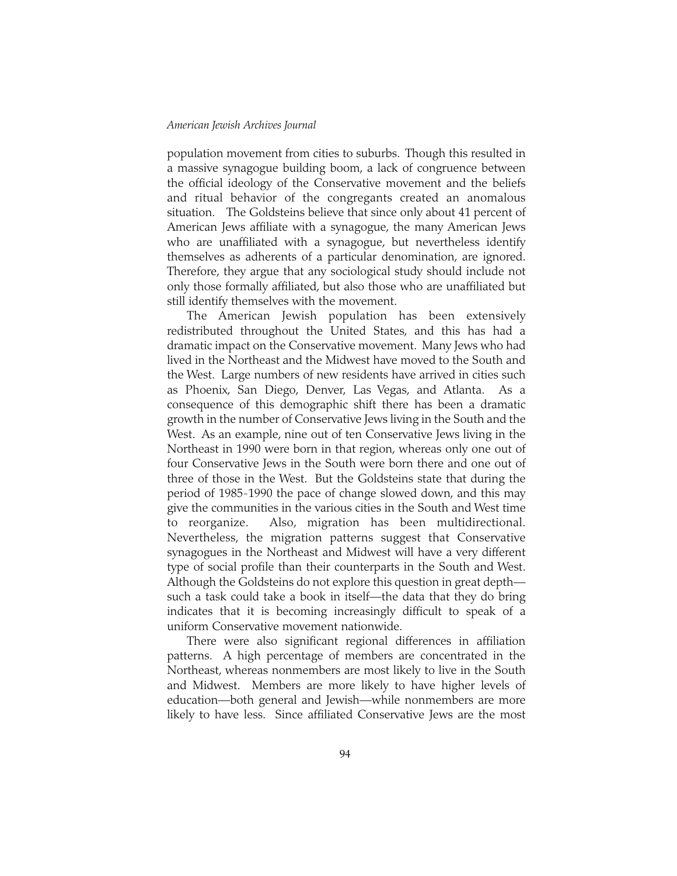#### *American Jewish Archives Journal*

population movement from cities to suburbs. Though this resulted in a massive synagogue building boom, a lack of congruence between the official ideology of the Conservative movement and the beliefs and ritual behavior of the congregants created an anomalous situation. The Goldsteins believe that since only about 41 percent of American Jews affiliate with a synagogue, the many American Jews who are unaffiliated with a synagogue, but nevertheless identify themselves as adherents of a particular denomination, are ignored. Therefore, they argue that any sociological study should include not only those formally affiliated, but also those who are unaffiliated but still identify themselves with the movement.

The American Jewish population has been extensively redistributed throughout the United States, and this has had a dramatic impact on the Conservative movement. Many Jews who had lived in the Northeast and the Midwest have moved to the South and the West. Large numbers of new residents have arrived in cities such as Phoenix, San Diego, Denver, Las Vegas, and Atlanta. As a consequence of this demographic shift there has been a dramatic growth in the number of Conservative Jews living in the South and the West. As an example, nine out of ten Conservative Jews living in the Northeast in 1990 were born in that region, whereas only one out of four Conservative Jews in the South were born there and one out of three of those in the West. But the Goldsteins state that during the period of 1985-1990 the pace of change slowed down, and this may give the communities in the various cities in the South and West time to reorganize. Also, migration has been multidirectional. Nevertheless, the migration patterns suggest that Conservative synagogues in the Northeast and Midwest will have a very different type of social profile than their counterparts in the South and West. Although the Goldsteins do not explore this question in great depth such a task could take a book in itself—the data that they do bring indicates that it is becoming increasingly difficult to speak of a uniform Conservative movement nationwide.

There were also significant regional differences in affiliation patterns. A high percentage of members are concentrated in the Northeast, whereas nonmembers are most likely to live in the South and Midwest. Members are more likely to have higher levels of education—both general and Jewish—while nonmembers are more likely to have less. Since affiliated Conservative Jews are the most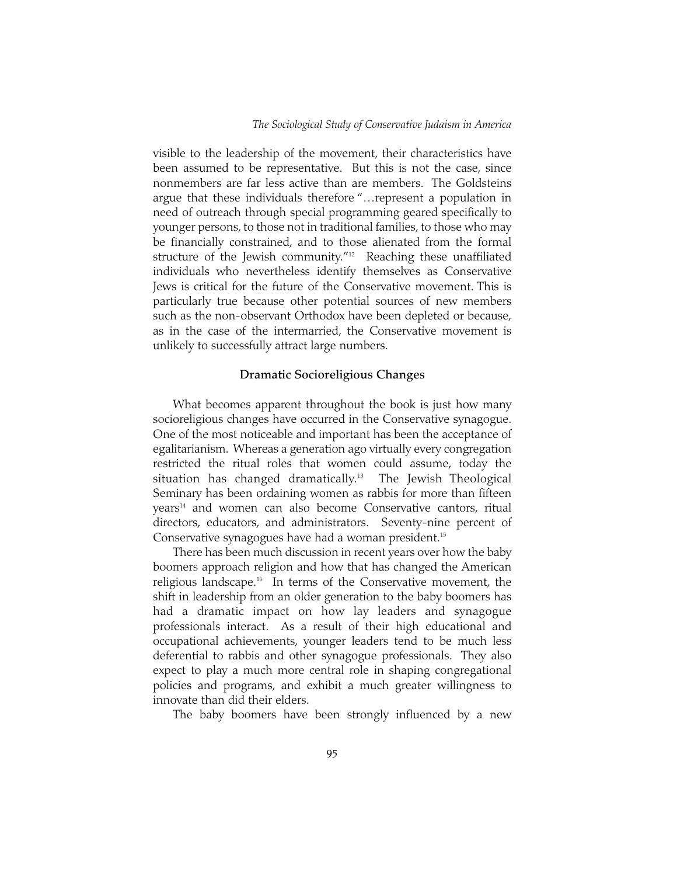#### *The Sociological Study of Conservative Judaism in America*

visible to the leadership of the movement, their characteristics have been assumed to be representative. But this is not the case, since nonmembers are far less active than are members. The Goldsteins argue that these individuals therefore "…represent a population in need of outreach through special programming geared specifically to younger persons, to those not in traditional families, to those who may be financially constrained, and to those alienated from the formal structure of the Jewish community."<sup>12</sup> Reaching these unaffiliated individuals who nevertheless identify themselves as Conservative Jews is critical for the future of the Conservative movement. This is particularly true because other potential sources of new members such as the non-observant Orthodox have been depleted or because, as in the case of the intermarried, the Conservative movement is unlikely to successfully attract large numbers.

### **Dramatic Socioreligious Changes**

What becomes apparent throughout the book is just how many socioreligious changes have occurred in the Conservative synagogue. One of the most noticeable and important has been the acceptance of egalitarianism. Whereas a generation ago virtually every congregation restricted the ritual roles that women could assume, today the situation has changed dramatically.<sup>13</sup> The Jewish Theological Seminary has been ordaining women as rabbis for more than fifteen years<sup>14</sup> and women can also become Conservative cantors, ritual directors, educators, and administrators. Seventy-nine percent of Conservative synagogues have had a woman president.15

There has been much discussion in recent years over how the baby boomers approach religion and how that has changed the American religious landscape.<sup>16</sup> In terms of the Conservative movement, the shift in leadership from an older generation to the baby boomers has had a dramatic impact on how lay leaders and synagogue professionals interact. As a result of their high educational and occupational achievements, younger leaders tend to be much less deferential to rabbis and other synagogue professionals. They also expect to play a much more central role in shaping congregational policies and programs, and exhibit a much greater willingness to innovate than did their elders.

The baby boomers have been strongly influenced by a new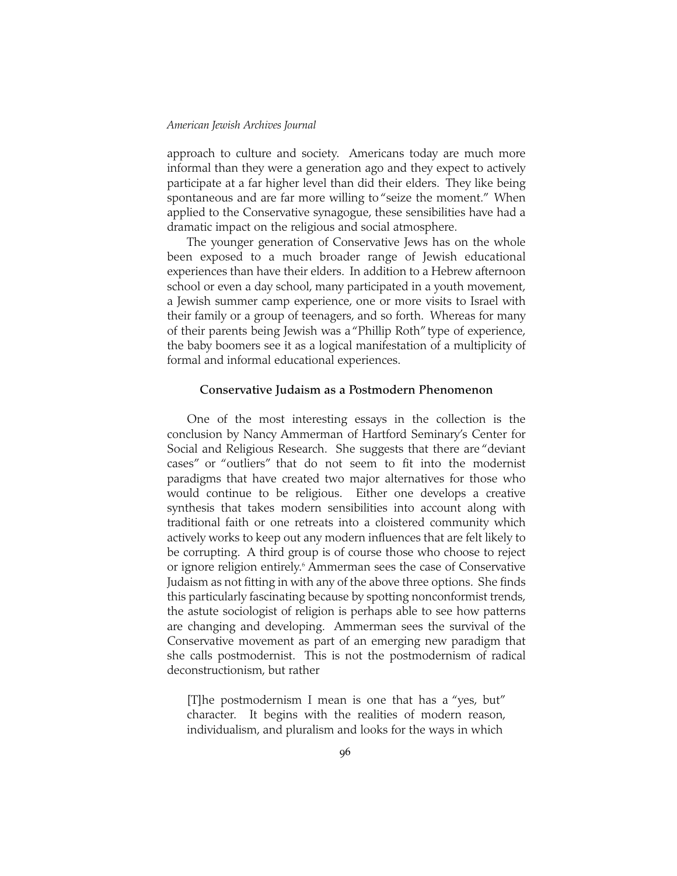#### *American Jewish Archives Journal*

approach to culture and society. Americans today are much more informal than they were a generation ago and they expect to actively participate at a far higher level than did their elders. They like being spontaneous and are far more willing to "seize the moment." When applied to the Conservative synagogue, these sensibilities have had a dramatic impact on the religious and social atmosphere.

The younger generation of Conservative Jews has on the whole been exposed to a much broader range of Jewish educational experiences than have their elders. In addition to a Hebrew afternoon school or even a day school, many participated in a youth movement, a Jewish summer camp experience, one or more visits to Israel with their family or a group of teenagers, and so forth. Whereas for many of their parents being Jewish was a "Phillip Roth" type of experience, the baby boomers see it as a logical manifestation of a multiplicity of formal and informal educational experiences.

# **Conservative Judaism as a Postmodern Phenomenon**

One of the most interesting essays in the collection is the conclusion by Nancy Ammerman of Hartford Seminary's Center for Social and Religious Research. She suggests that there are "deviant cases" or "outliers" that do not seem to fit into the modernist paradigms that have created two major alternatives for those who would continue to be religious. Either one develops a creative synthesis that takes modern sensibilities into account along with traditional faith or one retreats into a cloistered community which actively works to keep out any modern influences that are felt likely to be corrupting. A third group is of course those who choose to reject or ignore religion entirely.<sup>6</sup> Ammerman sees the case of Conservative Judaism as not fitting in with any of the above three options. She finds this particularly fascinating because by spotting nonconformist trends, the astute sociologist of religion is perhaps able to see how patterns are changing and developing. Ammerman sees the survival of the Conservative movement as part of an emerging new paradigm that she calls postmodernist. This is not the postmodernism of radical deconstructionism, but rather

[T]he postmodernism I mean is one that has a "yes, but" character. It begins with the realities of modern reason, individualism, and pluralism and looks for the ways in which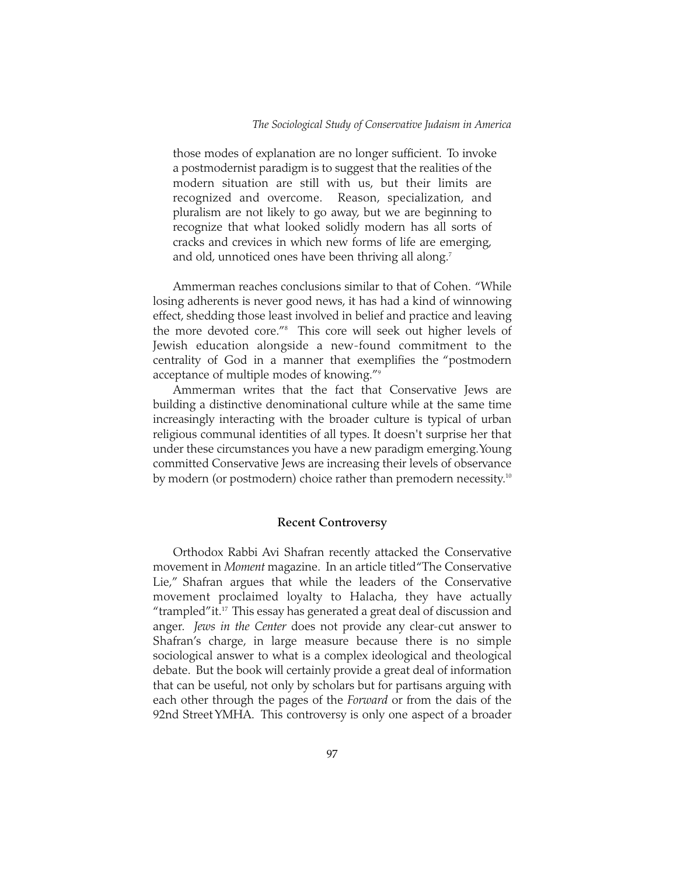those modes of explanation are no longer sufficient. To invoke a postmodernist paradigm is to suggest that the realities of the modern situation are still with us, but their limits are recognized and overcome. Reason, specialization, and pluralism are not likely to go away, but we are beginning to recognize that what looked solidly modern has all sorts of cracks and crevices in which new forms of life are emerging, and old, unnoticed ones have been thriving all along.<sup>7</sup>

Ammerman reaches conclusions similar to that of Cohen. "While losing adherents is never good news, it has had a kind of winnowing effect, shedding those least involved in belief and practice and leaving the more devoted core."8 This core will seek out higher levels of Jewish education alongside a new-found commitment to the centrality of God in a manner that exemplifies the "postmodern acceptance of multiple modes of knowing."9

Ammerman writes that the fact that Conservative Jews are building a distinctive denominational culture while at the same time increasingly interacting with the broader culture is typical of urban religious communal identities of all types. It doesn't surprise her that under these circumstances you have a new paradigm emerging.Young committed Conservative Jews are increasing their levels of observance by modern (or postmodern) choice rather than premodern necessity.<sup>10</sup>

#### **Recent Controversy**

Orthodox Rabbi Avi Shafran recently attacked the Conservative movement in *Moment* magazine. In an article titled "The Conservative Lie," Shafran argues that while the leaders of the Conservative movement proclaimed loyalty to Halacha, they have actually "trampled"it.17 This essay has generated a great deal of discussion and anger. *Jews in the Center* does not provide any clear-cut answer to Shafran's charge, in large measure because there is no simple sociological answer to what is a complex ideological and theological debate. But the book will certainly provide a great deal of information that can be useful, not only by scholars but for partisans arguing with each other through the pages of the *Forward* or from the dais of the 92nd Street YMHA. This controversy is only one aspect of a broader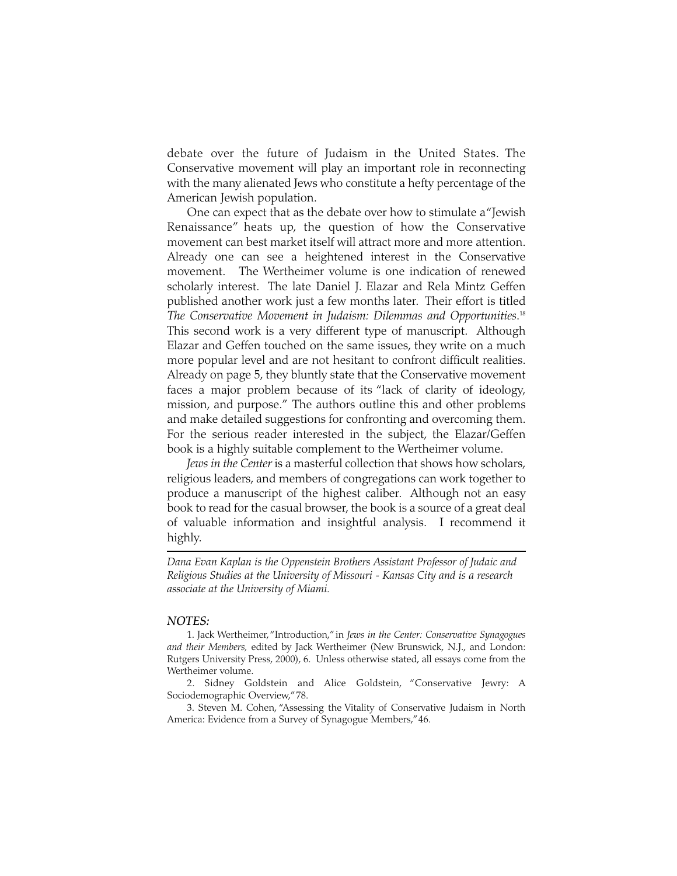debate over the future of Judaism in the United States. The Conservative movement will play an important role in reconnecting with the many alienated Jews who constitute a hefty percentage of the American Jewish population.

One can expect that as the debate over how to stimulate a "Jewish Renaissance" heats up, the question of how the Conservative movement can best market itself will attract more and more attention. Already one can see a heightened interest in the Conservative movement. The Wertheimer volume is one indication of renewed scholarly interest. The late Daniel J. Elazar and Rela Mintz Geffen published another work just a few months later. Their effort is titled *The Conservative Movement in Judaism: Dilemmas and Opportunities*. 18 This second work is a very different type of manuscript. Although Elazar and Geffen touched on the same issues, they write on a much more popular level and are not hesitant to confront difficult realities. Already on page 5, they bluntly state that the Conservative movement faces a major problem because of its "lack of clarity of ideology, mission, and purpose." The authors outline this and other problems and make detailed suggestions for confronting and overcoming them. For the serious reader interested in the subject, the Elazar/Geffen book is a highly suitable complement to the Wertheimer volume.

*Jews in the Center* is a masterful collection that shows how scholars, religious leaders, and members of congregations can work together to produce a manuscript of the highest caliber. Although not an easy book to read for the casual browser, the book is a source of a great deal of valuable information and insightful analysis. I recommend it highly.

*Dana Evan Kaplan is the Oppenstein Brothers Assistant Professor of Judaic and Religious Studies at the University of Missouri - Kansas City and is a research associate at the University of Miami.*

#### *NOTES:*

<sup>1.</sup> Jack Wertheimer,"Introduction,"in *Jews in the Center: Conservative Synagogues and their Members,* edited by Jack Wertheimer (New Brunswick, N.J., and London: Rutgers University Press, 2000), 6. Unless otherwise stated, all essays come from the Wertheimer volume.

<sup>2.</sup> Sidney Goldstein and Alice Goldstein, "Conservative Jewry: A Sociodemographic Overview,"78.

<sup>3.</sup> Steven M. Cohen, "Assessing the Vitality of Conservative Judaism in North America: Evidence from a Survey of Synagogue Members,"46.